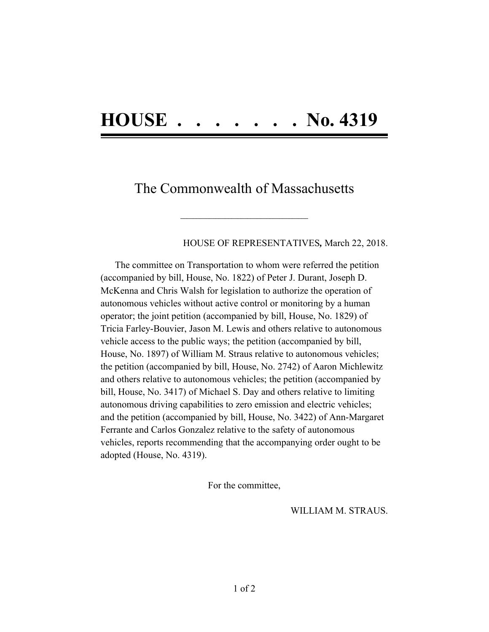## **HOUSE . . . . . . . No. 4319**

## The Commonwealth of Massachusetts

 $\mathcal{L} = \{ \mathcal{L} \}$ 

## HOUSE OF REPRESENTATIVES*,* March 22, 2018.

The committee on Transportation to whom were referred the petition (accompanied by bill, House, No. 1822) of Peter J. Durant, Joseph D. McKenna and Chris Walsh for legislation to authorize the operation of autonomous vehicles without active control or monitoring by a human operator; the joint petition (accompanied by bill, House, No. 1829) of Tricia Farley-Bouvier, Jason M. Lewis and others relative to autonomous vehicle access to the public ways; the petition (accompanied by bill, House, No. 1897) of William M. Straus relative to autonomous vehicles; the petition (accompanied by bill, House, No. 2742) of Aaron Michlewitz and others relative to autonomous vehicles; the petition (accompanied by bill, House, No. 3417) of Michael S. Day and others relative to limiting autonomous driving capabilities to zero emission and electric vehicles; and the petition (accompanied by bill, House, No. 3422) of Ann-Margaret Ferrante and Carlos Gonzalez relative to the safety of autonomous vehicles, reports recommending that the accompanying order ought to be adopted (House, No. 4319).

For the committee,

WILLIAM M. STRAUS.